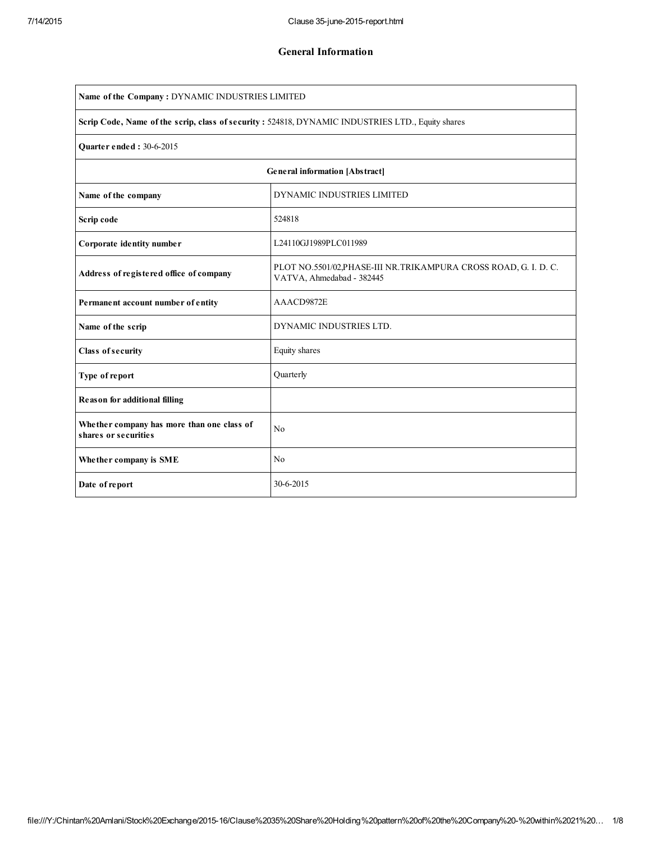| Name of the Company: DYNAMIC INDUSTRIES LIMITED                                                   |                                                                                                |  |  |  |  |  |  |
|---------------------------------------------------------------------------------------------------|------------------------------------------------------------------------------------------------|--|--|--|--|--|--|
| Scrip Code, Name of the scrip, class of security : 524818, DYNAMIC INDUSTRIES LTD., Equity shares |                                                                                                |  |  |  |  |  |  |
| Quarter ended: 30-6-2015                                                                          |                                                                                                |  |  |  |  |  |  |
| General information [Abstract]                                                                    |                                                                                                |  |  |  |  |  |  |
| Name of the company                                                                               | DYNAMIC INDUSTRIES LIMITED                                                                     |  |  |  |  |  |  |
| Scrip code                                                                                        | 524818                                                                                         |  |  |  |  |  |  |
| Corporate identity number                                                                         | L24110GJ1989PLC011989                                                                          |  |  |  |  |  |  |
| Address of registered office of company                                                           | PLOT NO.5501/02, PHASE-III NR. TRIKAMPURA CROSS ROAD, G. I. D. C.<br>VATVA, Ahmedabad - 382445 |  |  |  |  |  |  |
| Permanent account number of entity                                                                | AAACD9872E                                                                                     |  |  |  |  |  |  |
| Name of the scrip                                                                                 | DYNAMIC INDUSTRIES LTD.                                                                        |  |  |  |  |  |  |
| Class of security                                                                                 | Equity shares                                                                                  |  |  |  |  |  |  |
| Type of report                                                                                    | Quarterly                                                                                      |  |  |  |  |  |  |
| <b>Reason for additional filling</b>                                                              |                                                                                                |  |  |  |  |  |  |
| Whether company has more than one class of<br>shares or securities                                | No                                                                                             |  |  |  |  |  |  |
| Whether company is SME                                                                            | N <sub>0</sub>                                                                                 |  |  |  |  |  |  |
| Date of report                                                                                    | 30-6-2015                                                                                      |  |  |  |  |  |  |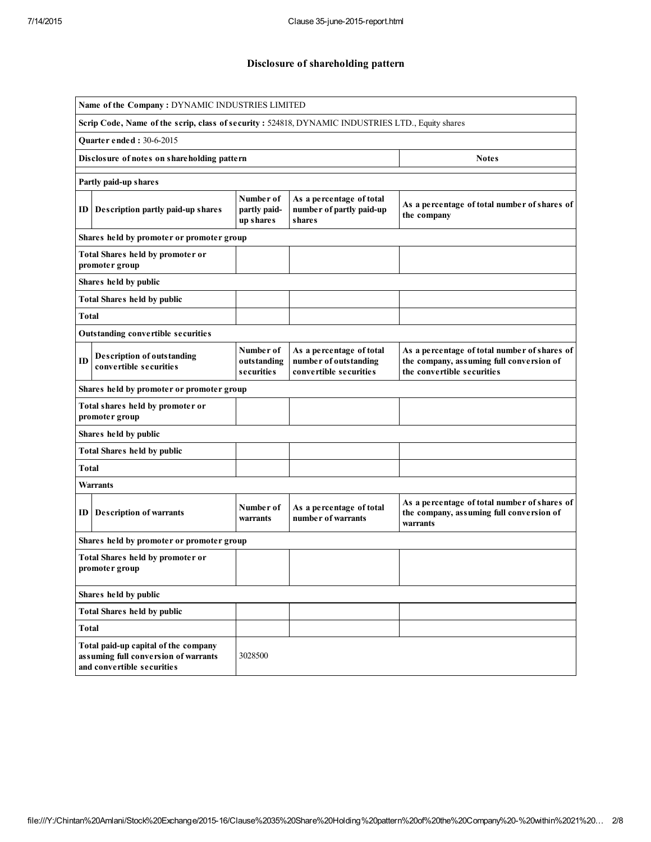## Disclosure of shareholding pattern

| Name of the Company: DYNAMIC INDUSTRIES LIMITED                                                            |                                        |                                                                             |                                                                                                                        |  |  |  |  |  |  |
|------------------------------------------------------------------------------------------------------------|----------------------------------------|-----------------------------------------------------------------------------|------------------------------------------------------------------------------------------------------------------------|--|--|--|--|--|--|
| Scrip Code, Name of the scrip, class of security: 524818, DYNAMIC INDUSTRIES LTD., Equity shares           |                                        |                                                                             |                                                                                                                        |  |  |  |  |  |  |
| <b>Quarter ended: 30-6-2015</b>                                                                            |                                        |                                                                             |                                                                                                                        |  |  |  |  |  |  |
| Disclosure of notes on shareholding pattern                                                                |                                        |                                                                             | <b>Notes</b>                                                                                                           |  |  |  |  |  |  |
| Partly paid-up shares                                                                                      |                                        |                                                                             |                                                                                                                        |  |  |  |  |  |  |
| Description partly paid-up shares<br>ID                                                                    | Number of<br>partly paid-<br>up shares | As a percentage of total<br>number of partly paid-up<br>s hare s            | As a percentage of total number of shares of<br>the company                                                            |  |  |  |  |  |  |
| Shares held by promoter or promoter group                                                                  |                                        |                                                                             |                                                                                                                        |  |  |  |  |  |  |
| Total Shares held by promoter or<br>promoter group                                                         |                                        |                                                                             |                                                                                                                        |  |  |  |  |  |  |
| Shares held by public                                                                                      |                                        |                                                                             |                                                                                                                        |  |  |  |  |  |  |
| <b>Total Shares held by public</b>                                                                         |                                        |                                                                             |                                                                                                                        |  |  |  |  |  |  |
| Total                                                                                                      |                                        |                                                                             |                                                                                                                        |  |  |  |  |  |  |
| <b>Outstanding convertible securities</b>                                                                  |                                        |                                                                             |                                                                                                                        |  |  |  |  |  |  |
| <b>Description of outstanding</b><br>ID<br>convertible securities                                          | Number of<br>outstanding<br>securities | As a percentage of total<br>number of outstanding<br>convertible securities | As a percentage of total number of shares of<br>the company, assuming full conversion of<br>the convertible securities |  |  |  |  |  |  |
| Shares held by promoter or promoter group                                                                  |                                        |                                                                             |                                                                                                                        |  |  |  |  |  |  |
| Total shares held by promoter or<br>promoter group                                                         |                                        |                                                                             |                                                                                                                        |  |  |  |  |  |  |
| Shares held by public                                                                                      |                                        |                                                                             |                                                                                                                        |  |  |  |  |  |  |
| <b>Total Shares held by public</b>                                                                         |                                        |                                                                             |                                                                                                                        |  |  |  |  |  |  |
| <b>Total</b>                                                                                               |                                        |                                                                             |                                                                                                                        |  |  |  |  |  |  |
| <b>Warrants</b>                                                                                            |                                        |                                                                             |                                                                                                                        |  |  |  |  |  |  |
| <b>Description of warrants</b><br>ID                                                                       | Number of<br>warrants                  | As a percentage of total<br>number of warrants                              | As a percentage of total number of shares of<br>the company, assuming full conversion of<br>warrants                   |  |  |  |  |  |  |
| Shares held by promoter or promoter group                                                                  |                                        |                                                                             |                                                                                                                        |  |  |  |  |  |  |
| Total Shares held by promoter or<br>promoter group                                                         |                                        |                                                                             |                                                                                                                        |  |  |  |  |  |  |
| Shares held by public                                                                                      |                                        |                                                                             |                                                                                                                        |  |  |  |  |  |  |
| <b>Total Shares held by public</b>                                                                         |                                        |                                                                             |                                                                                                                        |  |  |  |  |  |  |
| Total                                                                                                      |                                        |                                                                             |                                                                                                                        |  |  |  |  |  |  |
| Total paid-up capital of the company<br>assuming full conversion of warrants<br>and convertible securities | 3028500                                |                                                                             |                                                                                                                        |  |  |  |  |  |  |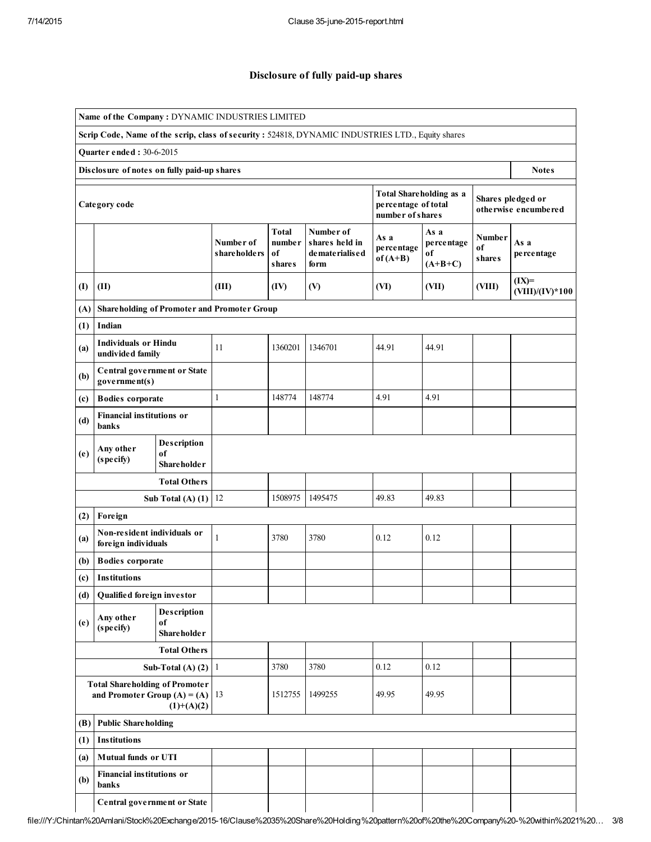## Disclosure of fully paid-up shares

| Name of the Company: DYNAMIC INDUSTRIES LIMITED                                                   |                                                                                         |                                         |                            |                                          |                                                           |                                                                           |                                       |                                           |                              |  |
|---------------------------------------------------------------------------------------------------|-----------------------------------------------------------------------------------------|-----------------------------------------|----------------------------|------------------------------------------|-----------------------------------------------------------|---------------------------------------------------------------------------|---------------------------------------|-------------------------------------------|------------------------------|--|
| Scrip Code, Name of the scrip, class of security : 524818, DYNAMIC INDUSTRIES LTD., Equity shares |                                                                                         |                                         |                            |                                          |                                                           |                                                                           |                                       |                                           |                              |  |
|                                                                                                   | Quarter ended: 30-6-2015                                                                |                                         |                            |                                          |                                                           |                                                                           |                                       |                                           |                              |  |
|                                                                                                   | Disclosure of notes on fully paid-up shares<br><b>Notes</b>                             |                                         |                            |                                          |                                                           |                                                                           |                                       |                                           |                              |  |
|                                                                                                   | Category code                                                                           |                                         |                            |                                          |                                                           | <b>Total Shareholding as a</b><br>percentage of total<br>number of shares |                                       | Shares pledged or<br>otherwise encumbered |                              |  |
|                                                                                                   |                                                                                         |                                         | Number of<br>share holders | <b>Total</b><br>number<br>of<br>s hare s | Number of<br>shares held in<br>de mate rialis e d<br>form | As a<br>percentage<br>$of (A+B)$                                          | As a<br>percentage<br>оf<br>$(A+B+C)$ | Number<br>of<br><b>shares</b>             | As a<br>percentage           |  |
| $\mathbf{I}$                                                                                      | (II)                                                                                    |                                         | (III)                      | (IV)                                     | (V)                                                       | (VI)                                                                      | (VII)                                 | (VIII)                                    | $(IX)=$<br>$(VIII)/(IV)*100$ |  |
| (A)                                                                                               | <b>Shareholding of Promoter and Promoter Group</b>                                      |                                         |                            |                                          |                                                           |                                                                           |                                       |                                           |                              |  |
| (1)                                                                                               | Indian                                                                                  |                                         |                            |                                          |                                                           |                                                                           |                                       |                                           |                              |  |
| (a)                                                                                               | <b>Individuals or Hindu</b><br>undivided family                                         |                                         | 11                         | 1360201                                  | 1346701                                                   | 44.91                                                                     | 44.91                                 |                                           |                              |  |
| (b)                                                                                               | Central government or State<br>goverment(s)                                             |                                         |                            |                                          |                                                           |                                                                           |                                       |                                           |                              |  |
| (c)                                                                                               | <b>Bodies</b> corporate                                                                 |                                         | $\mathbf{1}$               | 148774                                   | 148774                                                    | 4.91                                                                      | 4.91                                  |                                           |                              |  |
| (d)                                                                                               | <b>Financial institutions or</b><br>banks                                               |                                         |                            |                                          |                                                           |                                                                           |                                       |                                           |                              |  |
| (e)                                                                                               | Description<br>Any other<br>of<br>(specify)<br><b>Shareholder</b>                       |                                         |                            |                                          |                                                           |                                                                           |                                       |                                           |                              |  |
|                                                                                                   |                                                                                         | <b>Total Others</b>                     |                            |                                          |                                                           |                                                                           |                                       |                                           |                              |  |
|                                                                                                   |                                                                                         | Sub Total $(A)$ $(1)$                   | 12                         | 1508975                                  | 1495475                                                   | 49.83                                                                     | 49.83                                 |                                           |                              |  |
| (2)                                                                                               | Foreign                                                                                 |                                         |                            |                                          |                                                           |                                                                           |                                       |                                           |                              |  |
| (a)                                                                                               | Non-resident individuals or<br>foreign individuals                                      |                                         | 1                          | 3780                                     | 3780                                                      | 0.12                                                                      | 0.12                                  |                                           |                              |  |
| (b)                                                                                               | <b>Bodies</b> corporate                                                                 |                                         |                            |                                          |                                                           |                                                                           |                                       |                                           |                              |  |
| (c)                                                                                               | Institutions                                                                            |                                         |                            |                                          |                                                           |                                                                           |                                       |                                           |                              |  |
| (d)                                                                                               | Qualified foreign investor                                                              |                                         |                            |                                          |                                                           |                                                                           |                                       |                                           |                              |  |
| (e)                                                                                               | Any other<br>(specify)                                                                  | Description<br>of<br><b>Shareholder</b> |                            |                                          |                                                           |                                                                           |                                       |                                           |                              |  |
|                                                                                                   |                                                                                         | <b>Total Others</b>                     |                            |                                          |                                                           |                                                                           |                                       |                                           |                              |  |
|                                                                                                   |                                                                                         | Sub-Total (A) $(2)$ 1                   |                            | 3780                                     | 3780                                                      | 0.12                                                                      | 0.12                                  |                                           |                              |  |
|                                                                                                   | <b>Total Shareholding of Promoter</b><br>and Promoter Group $(A) = (A)$<br>$(1)+(A)(2)$ |                                         | 13                         | 1512755                                  | 1499255                                                   | 49.95                                                                     | 49.95                                 |                                           |                              |  |
| (B)                                                                                               | <b>Public Shareholding</b>                                                              |                                         |                            |                                          |                                                           |                                                                           |                                       |                                           |                              |  |
| (1)                                                                                               | <b>Institutions</b>                                                                     |                                         |                            |                                          |                                                           |                                                                           |                                       |                                           |                              |  |
| (a)                                                                                               | <b>Mutual funds or UTI</b>                                                              |                                         |                            |                                          |                                                           |                                                                           |                                       |                                           |                              |  |
| (b)                                                                                               | <b>Financial institutions or</b><br>banks                                               |                                         |                            |                                          |                                                           |                                                                           |                                       |                                           |                              |  |
|                                                                                                   | Central government or State                                                             |                                         |                            |                                          |                                                           |                                                                           |                                       |                                           |                              |  |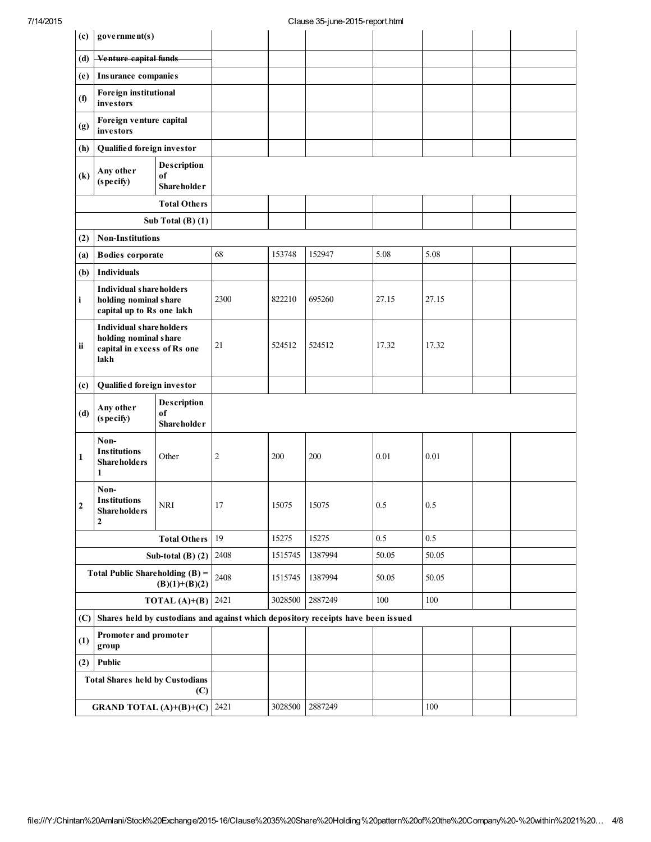| (c)                                                  | government(s)                                                                                  |                       |                |         |                                                                                  |         |         |  |
|------------------------------------------------------|------------------------------------------------------------------------------------------------|-----------------------|----------------|---------|----------------------------------------------------------------------------------|---------|---------|--|
| (d)                                                  | Venture capital funds                                                                          |                       |                |         |                                                                                  |         |         |  |
| (e)                                                  | Insurance companies                                                                            |                       |                |         |                                                                                  |         |         |  |
| (f)                                                  | Foreign institutional<br>investors                                                             |                       |                |         |                                                                                  |         |         |  |
| (g)                                                  | Foreign venture capital<br>investors                                                           |                       |                |         |                                                                                  |         |         |  |
| (h)                                                  | Qualified foreign investor                                                                     |                       |                |         |                                                                                  |         |         |  |
| $\left( \mathbf{k}\right)$                           | Description<br>Any other<br>оf<br>(specify)<br><b>Shareholder</b>                              |                       |                |         |                                                                                  |         |         |  |
| <b>Total Others</b>                                  |                                                                                                |                       |                |         |                                                                                  |         |         |  |
| Sub Total $(B)$ $(1)$                                |                                                                                                |                       |                |         |                                                                                  |         |         |  |
| (2)                                                  | <b>Non-Institutions</b>                                                                        |                       |                |         |                                                                                  |         |         |  |
| (a)                                                  | <b>Bodies</b> corporate                                                                        |                       | 68             | 153748  | 152947                                                                           | 5.08    | 5.08    |  |
| (b)                                                  | <b>Individuals</b>                                                                             |                       |                |         |                                                                                  |         |         |  |
| i                                                    | <b>Individual shareholders</b><br>holding nominal share<br>capital up to Rs one lakh           |                       | 2300           | 822210  | 695260                                                                           | 27.15   | 27.15   |  |
| ii                                                   | <b>Individual shareholders</b><br>holding nominal share<br>capital in excess of Rs one<br>lakh |                       | 21             | 524512  | 524512                                                                           | 17.32   | 17.32   |  |
| (c)                                                  | Qualified foreign investor                                                                     |                       |                |         |                                                                                  |         |         |  |
| (d)                                                  | Any other<br>(specify)                                                                         |                       |                |         |                                                                                  |         |         |  |
| 1                                                    | Non-<br><b>Institutions</b><br><b>Shareholders</b><br>1                                        | Other                 | $\overline{2}$ | 200     | 200                                                                              | 0.01    | 0.01    |  |
| $\mathbf 2$                                          | Non-<br><b>Institutions</b><br><b>Shareholders</b><br>$\overline{2}$                           | $\operatorname{NRI}$  | $17\,$         | 15075   | 15075                                                                            | $0.5\,$ | $0.5\,$ |  |
|                                                      |                                                                                                | <b>Total Others</b>   | 19             | 15275   | 15275                                                                            | 0.5     | 0.5     |  |
|                                                      |                                                                                                | Sub-total $(B)$ $(2)$ | 2408           | 1515745 | 1387994                                                                          | 50.05   | 50.05   |  |
| Total Public Shareholding $(B)$ =<br>$(B)(1)+(B)(2)$ |                                                                                                |                       | 2408           | 1515745 | 1387994                                                                          | 50.05   | 50.05   |  |
| <b>TOTAL</b> (A)+(B) 2421                            |                                                                                                |                       |                | 3028500 | 2887249                                                                          | $100\,$ | 100     |  |
| (C)                                                  |                                                                                                |                       |                |         | Shares held by custodians and against which depository receipts have been issued |         |         |  |
| Promoter and promoter<br>(1)<br>group                |                                                                                                |                       |                |         |                                                                                  |         |         |  |
| (2)                                                  | Public                                                                                         |                       |                |         |                                                                                  |         |         |  |
|                                                      | <b>Total Shares held by Custodians</b>                                                         | (C)                   |                |         |                                                                                  |         |         |  |
|                                                      | <b>GRAND TOTAL (A)+(B)+(C)</b>                                                                 |                       | 2421           | 3028500 | 2887249                                                                          |         | 100     |  |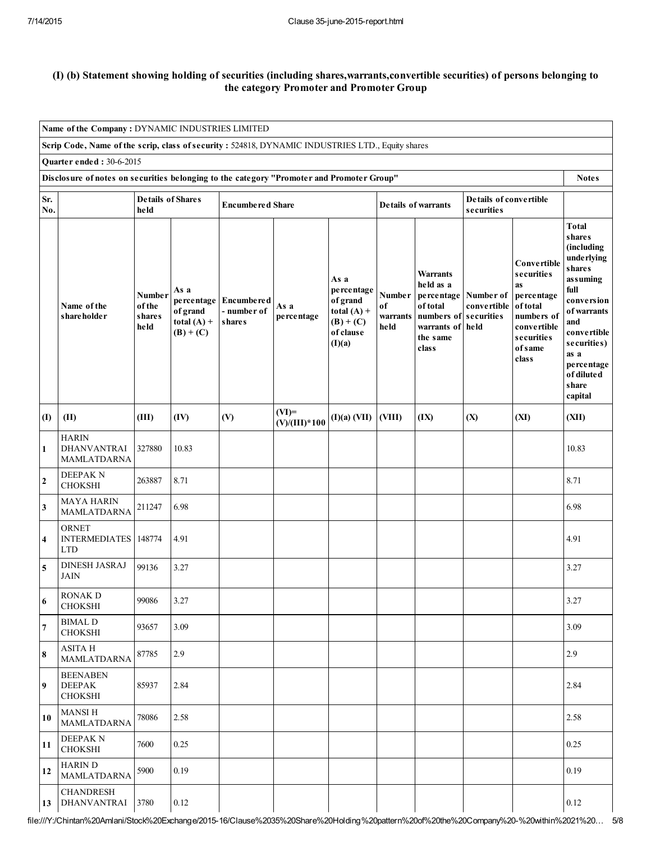## (I) (b) Statement showing holding of securities (including shares,warrants,convertible securities) of persons belonging to the category Promoter and Promoter Group

| Name of the Company: DYNAMIC INDUSTRIES LIMITED                                                           |                                                    |                                           |                                                                |                                                   |                            |                                                                                       |                                   |                                                                                                                         |                                      |                                                                                                                                        |                                                                                                                                                                                                                          |
|-----------------------------------------------------------------------------------------------------------|----------------------------------------------------|-------------------------------------------|----------------------------------------------------------------|---------------------------------------------------|----------------------------|---------------------------------------------------------------------------------------|-----------------------------------|-------------------------------------------------------------------------------------------------------------------------|--------------------------------------|----------------------------------------------------------------------------------------------------------------------------------------|--------------------------------------------------------------------------------------------------------------------------------------------------------------------------------------------------------------------------|
| Scrip Code, Name of the scrip, class of security : 524818, DYNAMIC INDUSTRIES LTD., Equity shares         |                                                    |                                           |                                                                |                                                   |                            |                                                                                       |                                   |                                                                                                                         |                                      |                                                                                                                                        |                                                                                                                                                                                                                          |
| Quarter ended: 30-6-2015                                                                                  |                                                    |                                           |                                                                |                                                   |                            |                                                                                       |                                   |                                                                                                                         |                                      |                                                                                                                                        |                                                                                                                                                                                                                          |
| Disclosure of notes on securities belonging to the category "Promoter and Promoter Group"<br><b>Notes</b> |                                                    |                                           |                                                                |                                                   |                            |                                                                                       |                                   |                                                                                                                         |                                      |                                                                                                                                        |                                                                                                                                                                                                                          |
| Sr.<br>No.                                                                                                |                                                    | <b>Details of Shares</b><br>held          |                                                                | <b>Encumbered Share</b>                           |                            |                                                                                       | Details of warrants               |                                                                                                                         | Details of convertible<br>securities |                                                                                                                                        |                                                                                                                                                                                                                          |
|                                                                                                           | Name of the<br>shareholder                         | Number<br>of the<br><b>shares</b><br>held | As a<br>percentage<br>of grand<br>total $(A)$ +<br>$(B) + (C)$ | <b>Encumbered</b><br>- number of<br><b>shares</b> | As a<br>pe rce ntage       | As a<br>percentage<br>of grand<br>total $(A)$ +<br>$(B) + (C)$<br>of clause<br>(I)(a) | Number<br>of<br>warrants<br>he ld | <b>Warrants</b><br>held as a<br>percentage Number of<br>of total<br>numbers of<br>warrants of held<br>the same<br>class | convertible<br>securities            | <b>Convertible</b><br><b>securities</b><br>as<br>percentage<br>of total<br>numbers of<br>convertible<br>securities<br>of same<br>class | <b>Total</b><br><b>shares</b><br>(including<br>underlying<br><b>shares</b><br>assuming<br>full<br>conversion<br>of warrants<br>and<br>convertible<br>securities)<br>as a<br>percentage<br>of diluted<br>share<br>capital |
| (I)                                                                                                       | (II)                                               | (III)                                     | (IV)                                                           | (V)                                               | $(VI)=$<br>$(V)/(III)*100$ | $(I)(a)$ (VII)                                                                        | (VIII)                            | (IX)                                                                                                                    | (X)                                  | (XI)                                                                                                                                   | (XII)                                                                                                                                                                                                                    |
| $\mathbf{1}$                                                                                              | <b>HARIN</b><br><b>DHANVANTRAI</b><br>MAMLATDARNA  | 327880                                    | 10.83                                                          |                                                   |                            |                                                                                       |                                   |                                                                                                                         |                                      |                                                                                                                                        | 10.83                                                                                                                                                                                                                    |
| $\overline{2}$                                                                                            | <b>DEEPAKN</b><br><b>CHOKSHI</b>                   | 263887                                    | 8.71                                                           |                                                   |                            |                                                                                       |                                   |                                                                                                                         |                                      |                                                                                                                                        | 8.71                                                                                                                                                                                                                     |
| $\overline{\mathbf{3}}$                                                                                   | <b>MAYA HARIN</b><br>MAMLATDARNA                   | 211247                                    | 6.98                                                           |                                                   |                            |                                                                                       |                                   |                                                                                                                         |                                      |                                                                                                                                        | 6.98                                                                                                                                                                                                                     |
| $\overline{\mathbf{4}}$                                                                                   | <b>ORNET</b><br><b>INTERMEDIATES</b><br><b>LTD</b> | 148774                                    | 4.91                                                           |                                                   |                            |                                                                                       |                                   |                                                                                                                         |                                      |                                                                                                                                        | 4.91                                                                                                                                                                                                                     |
| $\overline{\mathbf{5}}$                                                                                   | <b>DINESH JASRAJ</b><br><b>JAIN</b>                | 99136                                     | 3.27                                                           |                                                   |                            |                                                                                       |                                   |                                                                                                                         |                                      |                                                                                                                                        | 3.27                                                                                                                                                                                                                     |
| 6                                                                                                         | RONAK D<br><b>CHOKSHI</b>                          | 99086                                     | 3.27                                                           |                                                   |                            |                                                                                       |                                   |                                                                                                                         |                                      |                                                                                                                                        | 3.27                                                                                                                                                                                                                     |
| $\overline{7}$                                                                                            | <b>BIMAL D</b><br><b>CHOKSHI</b>                   | 93657                                     | 3.09                                                           |                                                   |                            |                                                                                       |                                   |                                                                                                                         |                                      |                                                                                                                                        | 3.09                                                                                                                                                                                                                     |
| 8                                                                                                         | <b>ASITA H</b><br><b>MAMLATDARNA</b>               | 87785                                     | 2.9                                                            |                                                   |                            |                                                                                       |                                   |                                                                                                                         |                                      |                                                                                                                                        | 2.9                                                                                                                                                                                                                      |
| $\boldsymbol{9}$                                                                                          | <b>BEENABEN</b><br><b>DEEPAK</b><br><b>CHOKSHI</b> | 85937                                     | 2.84                                                           |                                                   |                            |                                                                                       |                                   |                                                                                                                         |                                      |                                                                                                                                        | 2.84                                                                                                                                                                                                                     |
| 10                                                                                                        | MANSI H<br><b>MAMLATDARNA</b>                      | 78086                                     | 2.58                                                           |                                                   |                            |                                                                                       |                                   |                                                                                                                         |                                      |                                                                                                                                        | 2.58                                                                                                                                                                                                                     |
| 11                                                                                                        | <b>DEEPAK N</b><br><b>CHOKSHI</b>                  | 7600                                      | 0.25                                                           |                                                   |                            |                                                                                       |                                   |                                                                                                                         |                                      |                                                                                                                                        | 0.25                                                                                                                                                                                                                     |
| 12                                                                                                        | HARIN D<br><b>MAMLATDARNA</b>                      | 5900                                      | 0.19                                                           |                                                   |                            |                                                                                       |                                   |                                                                                                                         |                                      |                                                                                                                                        | 0.19                                                                                                                                                                                                                     |
| 13                                                                                                        | <b>CHANDRESH</b><br><b>DHANVANTRAI</b>             | 3780                                      | 0.12                                                           |                                                   |                            |                                                                                       |                                   |                                                                                                                         |                                      |                                                                                                                                        | 0.12                                                                                                                                                                                                                     |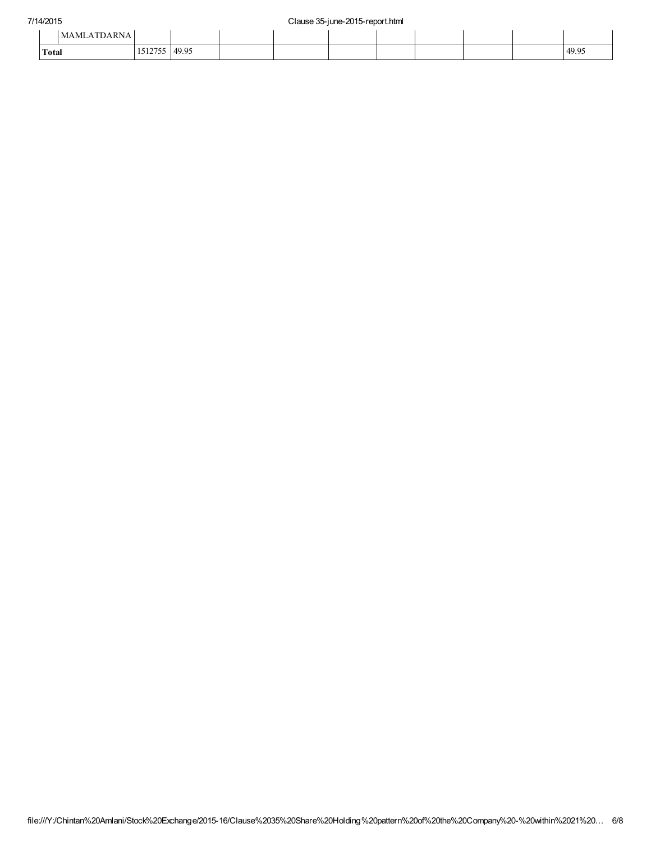|       | <b>MAMLATDARNA</b> |                   |       |  |  |  |       |
|-------|--------------------|-------------------|-------|--|--|--|-------|
| Total |                    | 1.512755<br>12120 | 49.95 |  |  |  | 49.95 |